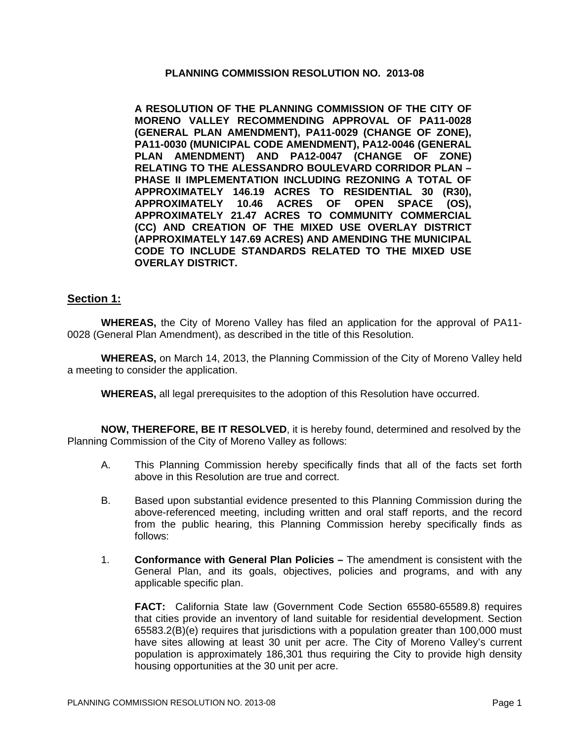#### **PLANNING COMMISSION RESOLUTION NO. 2013-08**

**A RESOLUTION OF THE PLANNING COMMISSION OF THE CITY OF MORENO VALLEY RECOMMENDING APPROVAL OF PA11-0028 (GENERAL PLAN AMENDMENT), PA11-0029 (CHANGE OF ZONE), PA11-0030 (MUNICIPAL CODE AMENDMENT), PA12-0046 (GENERAL PLAN AMENDMENT) AND PA12-0047 (CHANGE OF ZONE) RELATING TO THE ALESSANDRO BOULEVARD CORRIDOR PLAN – PHASE II IMPLEMENTATION INCLUDING REZONING A TOTAL OF APPROXIMATELY 146.19 ACRES TO RESIDENTIAL 30 (R30), APPROXIMATELY 10.46 ACRES OF OPEN SPACE (OS), APPROXIMATELY 21.47 ACRES TO COMMUNITY COMMERCIAL (CC) AND CREATION OF THE MIXED USE OVERLAY DISTRICT (APPROXIMATELY 147.69 ACRES) AND AMENDING THE MUNICIPAL CODE TO INCLUDE STANDARDS RELATED TO THE MIXED USE OVERLAY DISTRICT.** 

### **Section 1:**

**WHEREAS,** the City of Moreno Valley has filed an application for the approval of PA11- 0028 (General Plan Amendment), as described in the title of this Resolution.

**WHEREAS,** on March 14, 2013, the Planning Commission of the City of Moreno Valley held a meeting to consider the application.

**WHEREAS,** all legal prerequisites to the adoption of this Resolution have occurred.

**NOW, THEREFORE, BE IT RESOLVED**, it is hereby found, determined and resolved by the Planning Commission of the City of Moreno Valley as follows:

- A. This Planning Commission hereby specifically finds that all of the facts set forth above in this Resolution are true and correct.
- B. Based upon substantial evidence presented to this Planning Commission during the above-referenced meeting, including written and oral staff reports, and the record from the public hearing, this Planning Commission hereby specifically finds as follows:
- 1. **Conformance with General Plan Policies** The amendment is consistent with the General Plan, and its goals, objectives, policies and programs, and with any applicable specific plan.

**FACT:** California State law (Government Code Section 65580-65589.8) requires that cities provide an inventory of land suitable for residential development. Section 65583.2(B)(e) requires that jurisdictions with a population greater than 100,000 must have sites allowing at least 30 unit per acre. The City of Moreno Valley's current population is approximately 186,301 thus requiring the City to provide high density housing opportunities at the 30 unit per acre.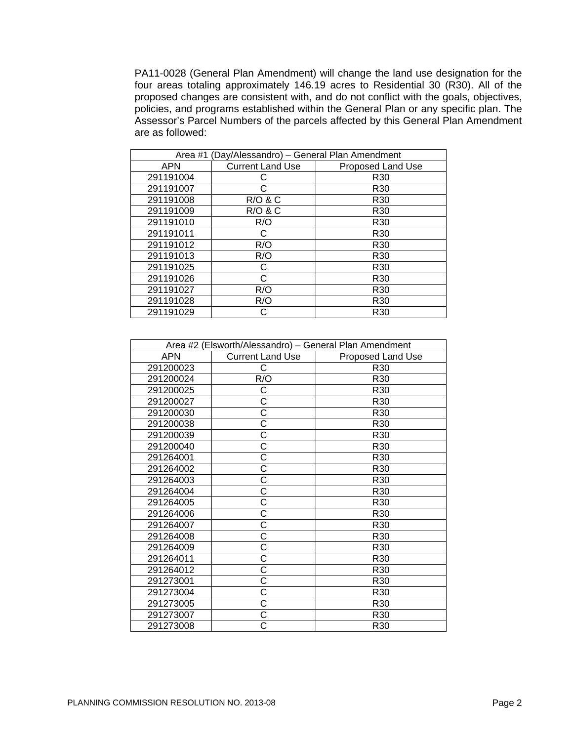PA11-0028 (General Plan Amendment) will change the land use designation for the four areas totaling approximately 146.19 acres to Residential 30 (R30). All of the proposed changes are consistent with, and do not conflict with the goals, objectives, policies, and programs established within the General Plan or any specific plan. The Assessor's Parcel Numbers of the parcels affected by this General Plan Amendment are as followed:

| Area #1 (Day/Alessandro) - General Plan Amendment |                         |                   |
|---------------------------------------------------|-------------------------|-------------------|
| <b>APN</b>                                        | <b>Current Land Use</b> | Proposed Land Use |
| 291191004                                         |                         | R <sub>30</sub>   |
| 291191007                                         |                         | R <sub>30</sub>   |
| 291191008                                         | <b>R/O &amp; C</b>      | R <sub>30</sub>   |
| 291191009                                         | <b>R/O &amp; C</b>      | R <sub>30</sub>   |
| 291191010                                         | R/O                     | R <sub>30</sub>   |
| 291191011                                         | C                       | R <sub>30</sub>   |
| 291191012                                         | R/O                     | R <sub>30</sub>   |
| 291191013                                         | R/O                     | R <sub>30</sub>   |
| 291191025                                         | C                       | R <sub>30</sub>   |
| 291191026                                         | C                       | R <sub>30</sub>   |
| 291191027                                         | R/O                     | R <sub>30</sub>   |
| 291191028                                         | R/O                     | R <sub>30</sub>   |
| 291191029                                         |                         | R30               |

| Area #2 (Elsworth/Alessandro) - General Plan Amendment |                         |                   |
|--------------------------------------------------------|-------------------------|-------------------|
| <b>APN</b>                                             | <b>Current Land Use</b> | Proposed Land Use |
| 291200023                                              | С                       | R <sub>30</sub>   |
| 291200024                                              | R/O                     | R30               |
| 291200025                                              | С                       | R <sub>30</sub>   |
| 291200027                                              | С                       | R <sub>30</sub>   |
| 291200030                                              | Ć                       | R30               |
| 291200038                                              | Ć                       | R <sub>30</sub>   |
| 291200039                                              | С                       | R30               |
| 291200040                                              | Ć                       | R30               |
| 291264001                                              | Ć                       | R30               |
| 291264002                                              | С                       | R30               |
| 291264003                                              | Ć                       | R30               |
| 291264004                                              | Ć                       | R30               |
| 291264005                                              | Ć                       | R <sub>30</sub>   |
| 291264006                                              | Ć                       | R30               |
| 291264007                                              | Ć                       | R30               |
| 291264008                                              | C                       | R30               |
| 291264009                                              | Ć                       | R <sub>30</sub>   |
| 291264011                                              | C                       | R30               |
| 291264012                                              | Ć                       | R30               |
| 291273001                                              | Ć                       | R30               |
| 291273004                                              | Ć                       | R30               |
| 291273005                                              | Ć                       | R <sub>30</sub>   |
| 291273007                                              | С                       | R30               |
| 291273008                                              | С                       | R <sub>30</sub>   |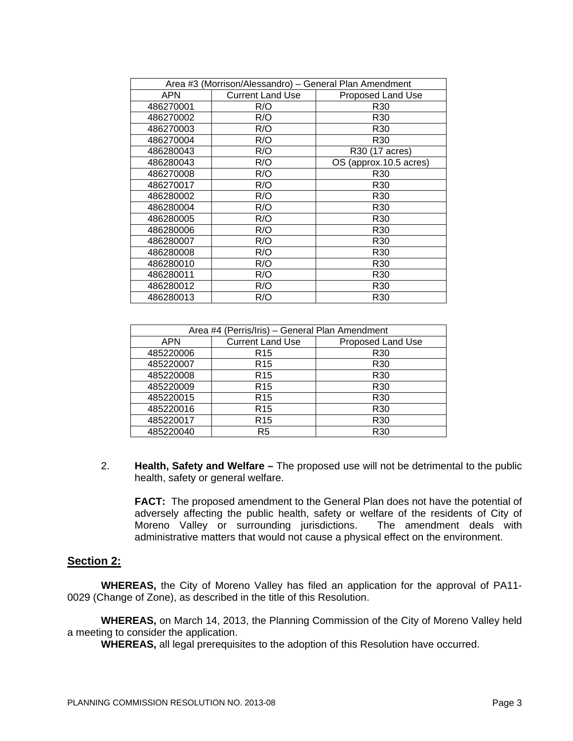| Area #3 (Morrison/Alessandro) - General Plan Amendment |                         |                        |
|--------------------------------------------------------|-------------------------|------------------------|
| <b>APN</b>                                             | <b>Current Land Use</b> | Proposed Land Use      |
| 486270001                                              | R/O                     | R30                    |
| 486270002                                              | R/O                     | R30                    |
| 486270003                                              | R/O                     | R <sub>30</sub>        |
| 486270004                                              | R/O                     | R30                    |
| 486280043                                              | R/O                     | R30 (17 acres)         |
| 486280043                                              | R/O                     | OS (approx.10.5 acres) |
| 486270008                                              | R/O                     | R30                    |
| 486270017                                              | R/O                     | R30                    |
| 486280002                                              | R/O                     | R30                    |
| 486280004                                              | R/O                     | R30                    |
| 486280005                                              | R/O                     | R30                    |
| 486280006                                              | R/O                     | R <sub>30</sub>        |
| 486280007                                              | R/O                     | R <sub>30</sub>        |
| 486280008                                              | R/O                     | R30                    |
| 486280010                                              | R/O                     | R30                    |
| 486280011                                              | R/O                     | R <sub>30</sub>        |
| 486280012                                              | R/O                     | R30                    |
| 486280013                                              | R/O                     | R30                    |

| Area #4 (Perris/Iris) - General Plan Amendment |                         |                   |  |
|------------------------------------------------|-------------------------|-------------------|--|
| APN                                            | <b>Current Land Use</b> | Proposed Land Use |  |
| 485220006                                      | R <sub>15</sub>         | R <sub>30</sub>   |  |
| 485220007                                      | R <sub>15</sub>         | R <sub>30</sub>   |  |
| 485220008                                      | R <sub>15</sub>         | R <sub>30</sub>   |  |
| 485220009                                      | R <sub>15</sub>         | R <sub>30</sub>   |  |
| 485220015                                      | R <sub>15</sub>         | R <sub>30</sub>   |  |
| 485220016                                      | R <sub>15</sub>         | R <sub>30</sub>   |  |
| 485220017                                      | R <sub>15</sub>         | R <sub>30</sub>   |  |
| 485220040                                      | R <sub>5</sub>          | R <sub>30</sub>   |  |

2. **Health, Safety and Welfare –** The proposed use will not be detrimental to the public health, safety or general welfare.

**FACT:** The proposed amendment to the General Plan does not have the potential of adversely affecting the public health, safety or welfare of the residents of City of Moreno Valley or surrounding jurisdictions. The amendment deals with Moreno Valley or surrounding jurisdictions. administrative matters that would not cause a physical effect on the environment.

### **Section 2:**

**WHEREAS,** the City of Moreno Valley has filed an application for the approval of PA11- 0029 (Change of Zone), as described in the title of this Resolution.

**WHEREAS,** on March 14, 2013, the Planning Commission of the City of Moreno Valley held a meeting to consider the application.

**WHEREAS,** all legal prerequisites to the adoption of this Resolution have occurred.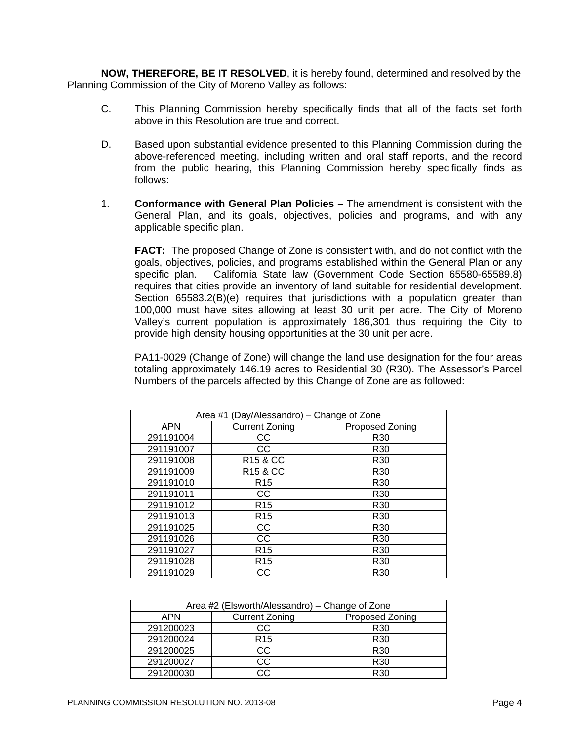**NOW, THEREFORE, BE IT RESOLVED**, it is hereby found, determined and resolved by the Planning Commission of the City of Moreno Valley as follows:

- C. This Planning Commission hereby specifically finds that all of the facts set forth above in this Resolution are true and correct.
- D. Based upon substantial evidence presented to this Planning Commission during the above-referenced meeting, including written and oral staff reports, and the record from the public hearing, this Planning Commission hereby specifically finds as follows:
- 1. **Conformance with General Plan Policies** The amendment is consistent with the General Plan, and its goals, objectives, policies and programs, and with any applicable specific plan.

**FACT:** The proposed Change of Zone is consistent with, and do not conflict with the goals, objectives, policies, and programs established within the General Plan or any specific plan. California State law (Government Code Section 65580-65589.8) requires that cities provide an inventory of land suitable for residential development. Section 65583.2(B)(e) requires that jurisdictions with a population greater than 100,000 must have sites allowing at least 30 unit per acre. The City of Moreno Valley's current population is approximately 186,301 thus requiring the City to provide high density housing opportunities at the 30 unit per acre.

PA11-0029 (Change of Zone) will change the land use designation for the four areas totaling approximately 146.19 acres to Residential 30 (R30). The Assessor's Parcel Numbers of the parcels affected by this Change of Zone are as followed:

| Area #1 (Day/Alessandro) - Change of Zone |                       |                 |
|-------------------------------------------|-----------------------|-----------------|
| <b>APN</b>                                | <b>Current Zoning</b> | Proposed Zoning |
| 291191004                                 | CС                    | R <sub>30</sub> |
| 291191007                                 | CС                    | R <sub>30</sub> |
| 291191008                                 | R <sub>15</sub> & CC  | R <sub>30</sub> |
| 291191009                                 | R <sub>15</sub> & CC  | R <sub>30</sub> |
| 291191010                                 | R <sub>15</sub>       | R <sub>30</sub> |
| 291191011                                 | CС                    | R <sub>30</sub> |
| 291191012                                 | R <sub>15</sub>       | R <sub>30</sub> |
| 291191013                                 | R <sub>15</sub>       | R <sub>30</sub> |
| 291191025                                 | CС                    | R <sub>30</sub> |
| 291191026                                 | CС                    | R <sub>30</sub> |
| 291191027                                 | R <sub>15</sub>       | R <sub>30</sub> |
| 291191028                                 | R <sub>15</sub>       | R <sub>30</sub> |
| 291191029                                 | CС                    | R <sub>30</sub> |

| Area #2 (Elsworth/Alessandro) – Change of Zone |                       |                 |  |
|------------------------------------------------|-----------------------|-----------------|--|
| APN                                            | <b>Current Zoning</b> | Proposed Zoning |  |
| 291200023                                      | CC                    | R <sub>30</sub> |  |
| 291200024                                      | R <sub>15</sub>       | R <sub>30</sub> |  |
| 291200025                                      | СC                    | R <sub>30</sub> |  |
| 291200027                                      | CC                    | R <sub>30</sub> |  |
| 291200030                                      | C.C.                  | R30             |  |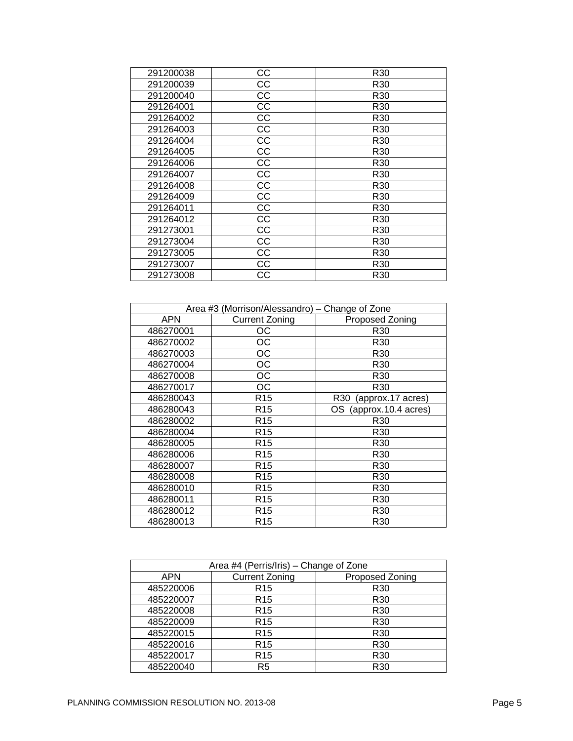| 291200038 | CC | R30             |
|-----------|----|-----------------|
| 291200039 | CC | R30             |
| 291200040 | CC | R <sub>30</sub> |
| 291264001 | CC | R <sub>30</sub> |
| 291264002 | CC | R30             |
| 291264003 | CC | R30             |
| 291264004 | CC | R30             |
| 291264005 | CC | R <sub>30</sub> |
| 291264006 | CC | R30             |
| 291264007 | CC | R30             |
| 291264008 | CC | R30             |
| 291264009 | CC | R30             |
| 291264011 | CC | R <sub>30</sub> |
| 291264012 | CC | R30             |
| 291273001 | СC | R30             |
| 291273004 | СC | R30             |
| 291273005 | CС | R30             |
| 291273007 | CC | R30             |
| 291273008 | CС | R30             |
|           |    |                 |

| Area #3 (Morrison/Alessandro) - Change of Zone |                       |                                      |
|------------------------------------------------|-----------------------|--------------------------------------|
| <b>APN</b>                                     | <b>Current Zoning</b> | Proposed Zoning                      |
| 486270001                                      | OС                    | R <sub>30</sub>                      |
| 486270002                                      | OС                    | R30                                  |
| 486270003                                      | ОC                    | R30                                  |
| 486270004                                      | OС                    | R <sub>30</sub>                      |
| 486270008                                      | OС                    | R30                                  |
| 486270017                                      | ОС                    | R30                                  |
| 486280043                                      | R <sub>15</sub>       | (approx.17 acres)<br>R <sub>30</sub> |
| 486280043                                      | R <sub>15</sub>       | (approx.10.4 acres)<br>OS            |
| 486280002                                      | R <sub>15</sub>       | R <sub>30</sub>                      |
| 486280004                                      | R <sub>15</sub>       | R <sub>30</sub>                      |
| 486280005                                      | R <sub>15</sub>       | R30                                  |
| 486280006                                      | R <sub>15</sub>       | R <sub>30</sub>                      |
| 486280007                                      | R <sub>15</sub>       | R30                                  |
| 486280008                                      | R <sub>15</sub>       | R <sub>30</sub>                      |
| 486280010                                      | R <sub>15</sub>       | R <sub>30</sub>                      |
| 486280011                                      | R <sub>15</sub>       | R <sub>30</sub>                      |
| 486280012                                      | R <sub>15</sub>       | R <sub>30</sub>                      |
| 486280013                                      | R <sub>15</sub>       | R30                                  |

| Area #4 (Perris/Iris) - Change of Zone |                       |                 |  |
|----------------------------------------|-----------------------|-----------------|--|
| APN                                    | <b>Current Zoning</b> | Proposed Zoning |  |
| 485220006                              | R <sub>15</sub>       | R <sub>30</sub> |  |
| 485220007                              | R <sub>15</sub>       | R <sub>30</sub> |  |
| 485220008                              | R <sub>15</sub>       | R <sub>30</sub> |  |
| 485220009                              | R <sub>15</sub>       | R <sub>30</sub> |  |
| 485220015                              | R <sub>15</sub>       | R <sub>30</sub> |  |
| 485220016                              | R <sub>15</sub>       | R <sub>30</sub> |  |
| 485220017                              | R <sub>15</sub>       | R <sub>30</sub> |  |
| 485220040                              | R <sub>5</sub>        | R <sub>30</sub> |  |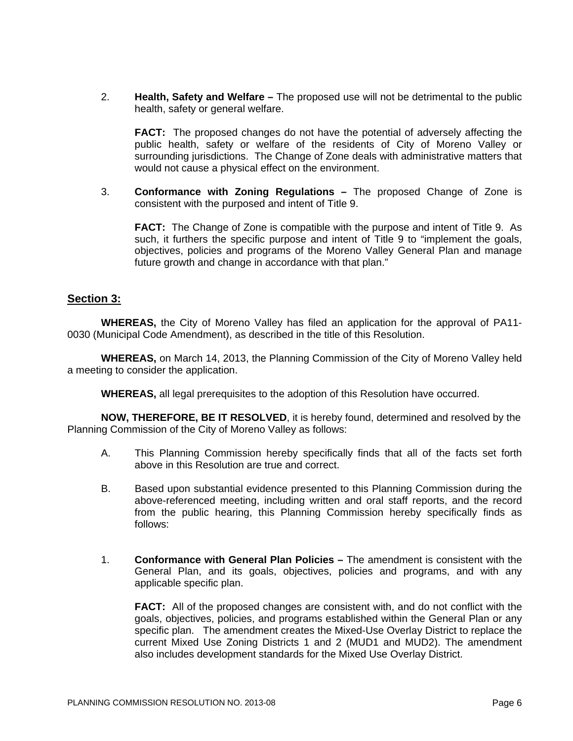2. **Health, Safety and Welfare –** The proposed use will not be detrimental to the public health, safety or general welfare.

**FACT:** The proposed changes do not have the potential of adversely affecting the public health, safety or welfare of the residents of City of Moreno Valley or surrounding jurisdictions. The Change of Zone deals with administrative matters that would not cause a physical effect on the environment.

3. **Conformance with Zoning Regulations –** The proposed Change of Zone is consistent with the purposed and intent of Title 9.

**FACT:** The Change of Zone is compatible with the purpose and intent of Title 9. As such, it furthers the specific purpose and intent of Title 9 to "implement the goals, objectives, policies and programs of the Moreno Valley General Plan and manage future growth and change in accordance with that plan."

## **Section 3:**

**WHEREAS,** the City of Moreno Valley has filed an application for the approval of PA11- 0030 (Municipal Code Amendment), as described in the title of this Resolution.

**WHEREAS,** on March 14, 2013, the Planning Commission of the City of Moreno Valley held a meeting to consider the application.

**WHEREAS,** all legal prerequisites to the adoption of this Resolution have occurred.

**NOW, THEREFORE, BE IT RESOLVED**, it is hereby found, determined and resolved by the Planning Commission of the City of Moreno Valley as follows:

- A. This Planning Commission hereby specifically finds that all of the facts set forth above in this Resolution are true and correct.
- B. Based upon substantial evidence presented to this Planning Commission during the above-referenced meeting, including written and oral staff reports, and the record from the public hearing, this Planning Commission hereby specifically finds as follows:
- 1. **Conformance with General Plan Policies** The amendment is consistent with the General Plan, and its goals, objectives, policies and programs, and with any applicable specific plan.

**FACT:** All of the proposed changes are consistent with, and do not conflict with the goals, objectives, policies, and programs established within the General Plan or any specific plan. The amendment creates the Mixed-Use Overlay District to replace the current Mixed Use Zoning Districts 1 and 2 (MUD1 and MUD2). The amendment also includes development standards for the Mixed Use Overlay District.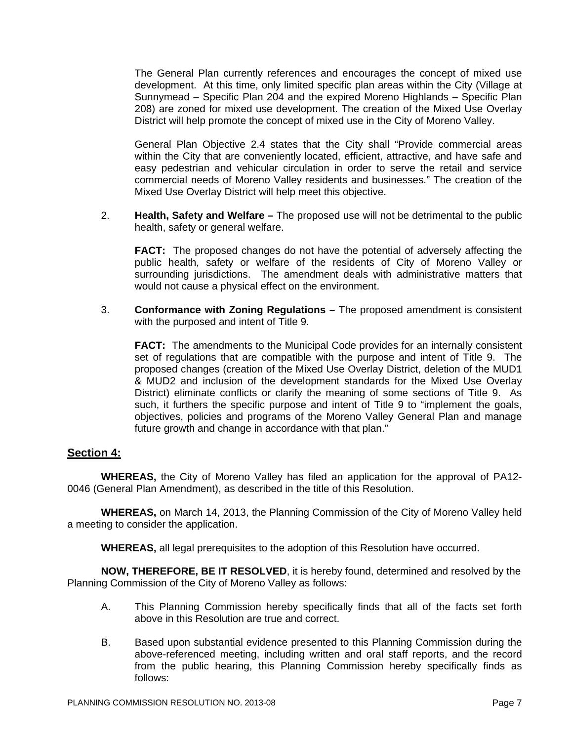The General Plan currently references and encourages the concept of mixed use development. At this time, only limited specific plan areas within the City (Village at Sunnymead – Specific Plan 204 and the expired Moreno Highlands – Specific Plan 208) are zoned for mixed use development. The creation of the Mixed Use Overlay District will help promote the concept of mixed use in the City of Moreno Valley.

General Plan Objective 2.4 states that the City shall "Provide commercial areas within the City that are conveniently located, efficient, attractive, and have safe and easy pedestrian and vehicular circulation in order to serve the retail and service commercial needs of Moreno Valley residents and businesses." The creation of the Mixed Use Overlay District will help meet this objective.

2. **Health, Safety and Welfare –** The proposed use will not be detrimental to the public health, safety or general welfare.

**FACT:** The proposed changes do not have the potential of adversely affecting the public health, safety or welfare of the residents of City of Moreno Valley or surrounding jurisdictions. The amendment deals with administrative matters that would not cause a physical effect on the environment.

3. **Conformance with Zoning Regulations –** The proposed amendment is consistent with the purposed and intent of Title 9.

**FACT:** The amendments to the Municipal Code provides for an internally consistent set of regulations that are compatible with the purpose and intent of Title 9. The proposed changes (creation of the Mixed Use Overlay District, deletion of the MUD1 & MUD2 and inclusion of the development standards for the Mixed Use Overlay District) eliminate conflicts or clarify the meaning of some sections of Title 9. As such, it furthers the specific purpose and intent of Title 9 to "implement the goals, objectives, policies and programs of the Moreno Valley General Plan and manage future growth and change in accordance with that plan."

### **Section 4:**

**WHEREAS,** the City of Moreno Valley has filed an application for the approval of PA12- 0046 (General Plan Amendment), as described in the title of this Resolution.

**WHEREAS,** on March 14, 2013, the Planning Commission of the City of Moreno Valley held a meeting to consider the application.

**WHEREAS,** all legal prerequisites to the adoption of this Resolution have occurred.

**NOW, THEREFORE, BE IT RESOLVED**, it is hereby found, determined and resolved by the Planning Commission of the City of Moreno Valley as follows:

- A. This Planning Commission hereby specifically finds that all of the facts set forth above in this Resolution are true and correct.
- B. Based upon substantial evidence presented to this Planning Commission during the above-referenced meeting, including written and oral staff reports, and the record from the public hearing, this Planning Commission hereby specifically finds as follows: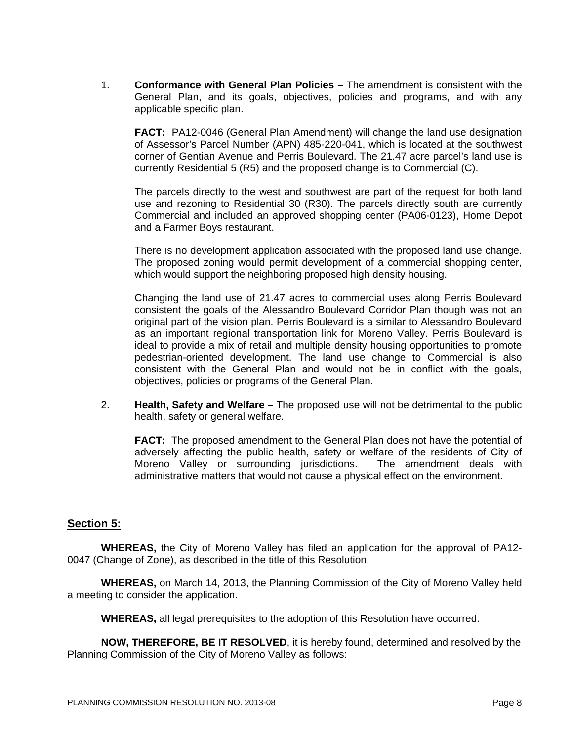1. **Conformance with General Plan Policies –** The amendment is consistent with the General Plan, and its goals, objectives, policies and programs, and with any applicable specific plan.

**FACT:** PA12-0046 (General Plan Amendment) will change the land use designation of Assessor's Parcel Number (APN) 485-220-041, which is located at the southwest corner of Gentian Avenue and Perris Boulevard. The 21.47 acre parcel's land use is currently Residential 5 (R5) and the proposed change is to Commercial (C).

The parcels directly to the west and southwest are part of the request for both land use and rezoning to Residential 30 (R30). The parcels directly south are currently Commercial and included an approved shopping center (PA06-0123), Home Depot and a Farmer Boys restaurant.

There is no development application associated with the proposed land use change. The proposed zoning would permit development of a commercial shopping center, which would support the neighboring proposed high density housing.

Changing the land use of 21.47 acres to commercial uses along Perris Boulevard consistent the goals of the Alessandro Boulevard Corridor Plan though was not an original part of the vision plan. Perris Boulevard is a similar to Alessandro Boulevard as an important regional transportation link for Moreno Valley. Perris Boulevard is ideal to provide a mix of retail and multiple density housing opportunities to promote pedestrian-oriented development. The land use change to Commercial is also consistent with the General Plan and would not be in conflict with the goals, objectives, policies or programs of the General Plan.

2. **Health, Safety and Welfare –** The proposed use will not be detrimental to the public health, safety or general welfare.

**FACT:** The proposed amendment to the General Plan does not have the potential of adversely affecting the public health, safety or welfare of the residents of City of Moreno Valley or surrounding jurisdictions. The amendment deals with administrative matters that would not cause a physical effect on the environment.

# **Section 5:**

**WHEREAS,** the City of Moreno Valley has filed an application for the approval of PA12- 0047 (Change of Zone), as described in the title of this Resolution.

**WHEREAS,** on March 14, 2013, the Planning Commission of the City of Moreno Valley held a meeting to consider the application.

**WHEREAS,** all legal prerequisites to the adoption of this Resolution have occurred.

**NOW, THEREFORE, BE IT RESOLVED**, it is hereby found, determined and resolved by the Planning Commission of the City of Moreno Valley as follows: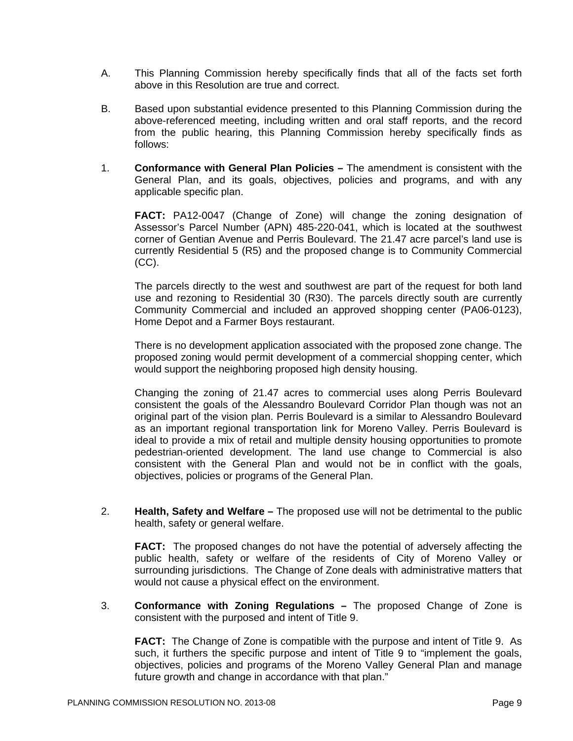- A. This Planning Commission hereby specifically finds that all of the facts set forth above in this Resolution are true and correct.
- B. Based upon substantial evidence presented to this Planning Commission during the above-referenced meeting, including written and oral staff reports, and the record from the public hearing, this Planning Commission hereby specifically finds as follows:
- 1. **Conformance with General Plan Policies** The amendment is consistent with the General Plan, and its goals, objectives, policies and programs, and with any applicable specific plan.

**FACT:** PA12-0047 (Change of Zone) will change the zoning designation of Assessor's Parcel Number (APN) 485-220-041, which is located at the southwest corner of Gentian Avenue and Perris Boulevard. The 21.47 acre parcel's land use is currently Residential 5 (R5) and the proposed change is to Community Commercial (CC).

The parcels directly to the west and southwest are part of the request for both land use and rezoning to Residential 30 (R30). The parcels directly south are currently Community Commercial and included an approved shopping center (PA06-0123), Home Depot and a Farmer Boys restaurant.

There is no development application associated with the proposed zone change. The proposed zoning would permit development of a commercial shopping center, which would support the neighboring proposed high density housing.

Changing the zoning of 21.47 acres to commercial uses along Perris Boulevard consistent the goals of the Alessandro Boulevard Corridor Plan though was not an original part of the vision plan. Perris Boulevard is a similar to Alessandro Boulevard as an important regional transportation link for Moreno Valley. Perris Boulevard is ideal to provide a mix of retail and multiple density housing opportunities to promote pedestrian-oriented development. The land use change to Commercial is also consistent with the General Plan and would not be in conflict with the goals, objectives, policies or programs of the General Plan.

2. **Health, Safety and Welfare –** The proposed use will not be detrimental to the public health, safety or general welfare.

**FACT:** The proposed changes do not have the potential of adversely affecting the public health, safety or welfare of the residents of City of Moreno Valley or surrounding jurisdictions. The Change of Zone deals with administrative matters that would not cause a physical effect on the environment.

3. **Conformance with Zoning Regulations –** The proposed Change of Zone is consistent with the purposed and intent of Title 9.

**FACT:** The Change of Zone is compatible with the purpose and intent of Title 9. As such, it furthers the specific purpose and intent of Title 9 to "implement the goals, objectives, policies and programs of the Moreno Valley General Plan and manage future growth and change in accordance with that plan."